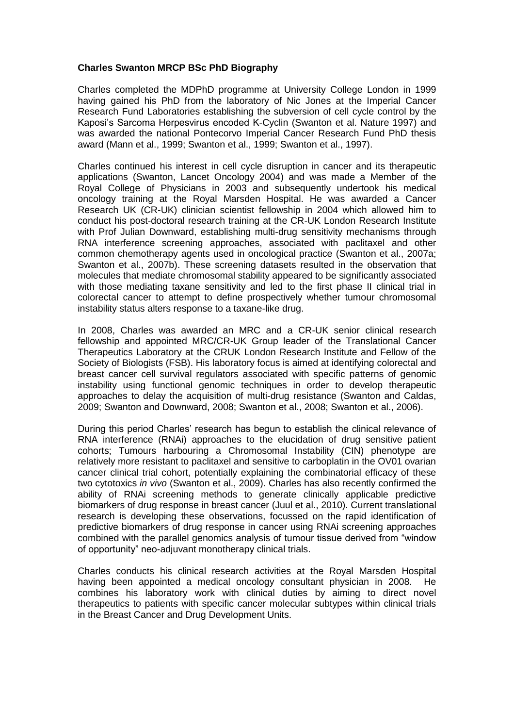## **Charles Swanton MRCP BSc PhD Biography**

Charles completed the MDPhD programme at University College London in 1999 having gained his PhD from the laboratory of Nic Jones at the Imperial Cancer Research Fund Laboratories establishing the subversion of cell cycle control by the Kaposi's Sarcoma Herpesvirus encoded K-Cyclin (Swanton et al. Nature 1997) and was awarded the national Pontecorvo Imperial Cancer Research Fund PhD thesis award (Mann et al., 1999; Swanton et al., 1999; Swanton et al., 1997).

Charles continued his interest in cell cycle disruption in cancer and its therapeutic applications (Swanton, Lancet Oncology 2004) and was made a Member of the Royal College of Physicians in 2003 and subsequently undertook his medical oncology training at the Royal Marsden Hospital. He was awarded a Cancer Research UK (CR-UK) clinician scientist fellowship in 2004 which allowed him to conduct his post-doctoral research training at the CR-UK London Research Institute with Prof Julian Downward, establishing multi-drug sensitivity mechanisms through RNA interference screening approaches, associated with paclitaxel and other common chemotherapy agents used in oncological practice (Swanton et al., 2007a; Swanton et al., 2007b). These screening datasets resulted in the observation that molecules that mediate chromosomal stability appeared to be significantly associated with those mediating taxane sensitivity and led to the first phase II clinical trial in colorectal cancer to attempt to define prospectively whether tumour chromosomal instability status alters response to a taxane-like drug.

In 2008, Charles was awarded an MRC and a CR-UK senior clinical research fellowship and appointed MRC/CR-UK Group leader of the Translational Cancer Therapeutics Laboratory at the CRUK London Research Institute and Fellow of the Society of Biologists (FSB). His laboratory focus is aimed at identifying colorectal and breast cancer cell survival regulators associated with specific patterns of genomic instability using functional genomic techniques in order to develop therapeutic approaches to delay the acquisition of multi-drug resistance (Swanton and Caldas, 2009; Swanton and Downward, 2008; Swanton et al., 2008; Swanton et al., 2006).

During this period Charles' research has begun to establish the clinical relevance of RNA interference (RNAi) approaches to the elucidation of drug sensitive patient cohorts; Tumours harbouring a Chromosomal Instability (CIN) phenotype are relatively more resistant to paclitaxel and sensitive to carboplatin in the OV01 ovarian cancer clinical trial cohort, potentially explaining the combinatorial efficacy of these two cytotoxics *in vivo* (Swanton et al., 2009). Charles has also recently confirmed the ability of RNAi screening methods to generate clinically applicable predictive biomarkers of drug response in breast cancer (Juul et al., 2010). Current translational research is developing these observations, focussed on the rapid identification of predictive biomarkers of drug response in cancer using RNAi screening approaches combined with the parallel genomics analysis of tumour tissue derived from "window of opportunity" neo-adjuvant monotherapy clinical trials.

Charles conducts his clinical research activities at the Royal Marsden Hospital having been appointed a medical oncology consultant physician in 2008. He combines his laboratory work with clinical duties by aiming to direct novel therapeutics to patients with specific cancer molecular subtypes within clinical trials in the Breast Cancer and Drug Development Units.